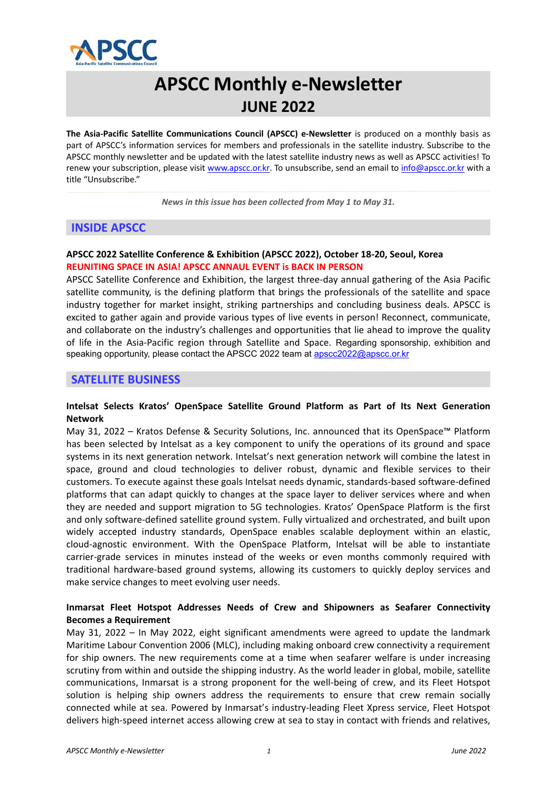

# **APSCC Monthly e‐Newsletter JUNE 2022**

**The Asia‐Pacific Satellite Communications Council (APSCC) e‐Newsletter**  is produced on a monthly basis as part of APSCC's information services for members and professionals in the satellite industry. Subscribe to the APSCC monthly newsletter and be updated with the latest satellite industry news as well as APSCC activities! To renew your subscription, please visit www.apscc.or.kr. To unsubscribe, send an email to info@apscc.or.kr with a title "Unsubscribe."

*News in this issue has been collected from May 1 to May 31.*

# **INSIDE APSCC**

# **APSCC 2022 Satellite Conference & Exhibition (APSCC 2022), October 18‐20, Seoul, Korea REUNITING SPACE IN ASIA! APSCC ANNAUL EVENT is BACK IN PERSON**

APSCC Satellite Conference and Exhibition, the largest three‐day annual gathering of the Asia Pacific satellite community, is the defining platform that brings the professionals of the satellite and space industry together for market insight, striking partnerships and concluding business deals. APSCC is excited to gather again and provide various types of live events in person! Reconnect, communicate, and collaborate on the industry's challenges and opportunities that lie ahead to improve the quality of life in the Asia-Pacific region through Satellite and Space. Regarding sponsorship, exhibition and speaking opportunity, please contact the APSCC 2022 team at apscc2022@apscc.or.kr

# **SATELLITE BUSINESS**

#### **Intelsat Selects Kratos' OpenSpace Satellite Ground Platform as Part of Its Next Generation Network**

May 31, 2022 – Kratos Defense & Security Solutions, Inc. announced that its OpenSpace™ Platform has been selected by Intelsat as a key component to unify the operations of its ground and space systems in its next generation network. Intelsat's next generation network will combine the latest in space, ground and cloud technologies to deliver robust, dynamic and flexible services to their customers. To execute against these goals Intelsat needs dynamic, standards‐based software‐defined platforms that can adapt quickly to changes at the space layer to deliver services where and when they are needed and support migration to 5G technologies. Kratos' OpenSpace Platform is the first and only software‐defined satellite ground system. Fully virtualized and orchestrated, and built upon widely accepted industry standards, OpenSpace enables scalable deployment within an elastic, cloud‐agnostic environment. With the OpenSpace Platform, Intelsat will be able to instantiate carrier-grade services in minutes instead of the weeks or even months commonly required with traditional hardware‐based ground systems, allowing its customers to quickly deploy services and make service changes to meet evolving user needs.

#### **Inmarsat Fleet Hotspot Addresses Needs of Crew and Shipowners as Seafarer Connectivity Becomes a Requirement**

May 31, 2022 – In May 2022, eight significant amendments were agreed to update the landmark Maritime Labour Convention 2006 (MLC), including making onboard crew connectivity a requirement for ship owners. The new requirements come at a time when seafarer welfare is under increasing scrutiny from within and outside the shipping industry. As the world leader in global, mobile, satellite communications, Inmarsat is a strong proponent for the well-being of crew, and its Fleet Hotspot solution is helping ship owners address the requirements to ensure that crew remain socially connected while at sea. Powered by Inmarsat's industry‐leading Fleet Xpress service, Fleet Hotspot delivers high‐speed internet access allowing crew at sea to stay in contact with friends and relatives,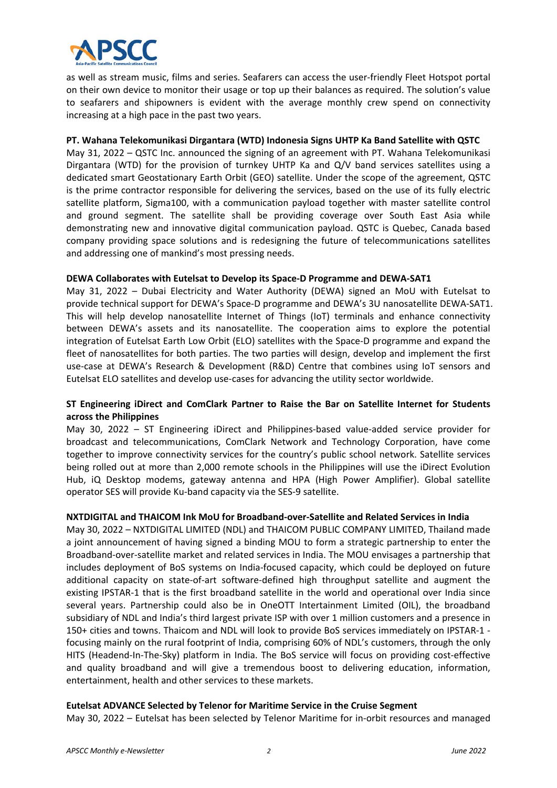

as well as stream music, films and series. Seafarers can access the user‐friendly Fleet Hotspot portal on their own device to monitor their usage or top up their balances as required. The solution's value to seafarers and shipowners is evident with the average monthly crew spend on connectivity increasing at a high pace in the past two years.

#### **PT. Wahana Telekomunikasi Dirgantara (WTD) Indonesia Signs UHTP Ka Band Satellite with QSTC**

May 31, 2022 – QSTC Inc. announced the signing of an agreement with PT. Wahana Telekomunikasi Dirgantara (WTD) for the provision of turnkey UHTP Ka and Q/V band services satellites using a dedicated smart Geostationary Earth Orbit (GEO) satellite. Under the scope of the agreement, QSTC is the prime contractor responsible for delivering the services, based on the use of its fully electric satellite platform, Sigma100, with a communication payload together with master satellite control and ground segment. The satellite shall be providing coverage over South East Asia while demonstrating new and innovative digital communication payload. QSTC is Quebec, Canada based company providing space solutions and is redesigning the future of telecommunications satellites and addressing one of mankind's most pressing needs.

#### **DEWA Collaborates with Eutelsat to Develop its Space‐D Programme and DEWA‐SAT1**

May 31, 2022 - Dubai Electricity and Water Authority (DEWA) signed an MoU with Eutelsat to provide technical support for DEWA's Space‐D programme and DEWA's 3U nanosatellite DEWA‐SAT1. This will help develop nanosatellite Internet of Things (IoT) terminals and enhance connectivity between DEWA's assets and its nanosatellite. The cooperation aims to explore the potential integration of Eutelsat Earth Low Orbit (ELO) satellites with the Space‐D programme and expand the fleet of nanosatellites for both parties. The two parties will design, develop and implement the first use-case at DEWA's Research & Development (R&D) Centre that combines using IoT sensors and Eutelsat ELO satellites and develop use‐cases for advancing the utility sector worldwide.

# **ST Engineering iDirect and ComClark Partner to Raise the Bar on Satellite Internet for Students across the Philippines**

May 30, 2022 - ST Engineering iDirect and Philippines-based value-added service provider for broadcast and telecommunications, ComClark Network and Technology Corporation, have come together to improve connectivity services for the country's public school network. Satellite services being rolled out at more than 2,000 remote schools in the Philippines will use the iDirect Evolution Hub, iQ Desktop modems, gateway antenna and HPA (High Power Amplifier). Global satellite operator SES will provide Ku‐band capacity via the SES‐9 satellite.

#### **NXTDIGITAL and THAICOM Ink MoU for Broadband‐over‐Satellite and Related Services in India**

May 30, 2022 – NXTDIGITAL LIMITED (NDL) and THAICOM PUBLIC COMPANY LIMITED, Thailand made a joint announcement of having signed a binding MOU to form a strategic partnership to enter the Broadband‐over‐satellite market and related services in India. The MOU envisages a partnership that includes deployment of BoS systems on India‐focused capacity, which could be deployed on future additional capacity on state‐of‐art software‐defined high throughput satellite and augment the existing IPSTAR-1 that is the first broadband satellite in the world and operational over India since several years. Partnership could also be in OneOTT Intertainment Limited (OIL), the broadband subsidiary of NDL and India's third largest private ISP with over 1 million customers and a presence in 150+ cities and towns. Thaicom and NDL will look to provide BoS services immediately on IPSTAR‐1 ‐ focusing mainly on the rural footprint of India, comprising 60% of NDL's customers, through the only HITS (Headend-In-The-Sky) platform in India. The BoS service will focus on providing cost-effective and quality broadband and will give a tremendous boost to delivering education, information, entertainment, health and other services to these markets.

#### **Eutelsat ADVANCE Selected by Telenor for Maritime Service in the Cruise Segment**

May 30, 2022 – Eutelsat has been selected by Telenor Maritime for in‐orbit resources and managed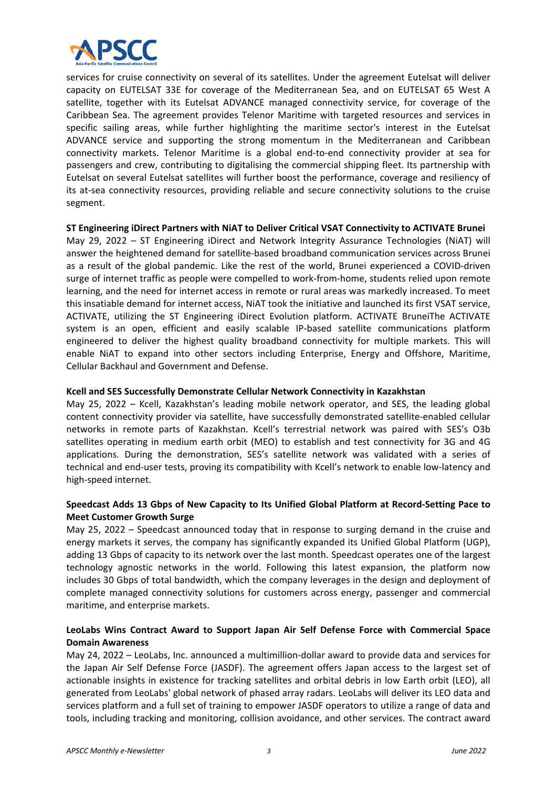

services for cruise connectivity on several of its satellites. Under the agreement Eutelsat will deliver capacity on EUTELSAT 33E for coverage of the Mediterranean Sea, and on EUTELSAT 65 West A satellite, together with its Eutelsat ADVANCE managed connectivity service, for coverage of the Caribbean Sea. The agreement provides Telenor Maritime with targeted resources and services in specific sailing areas, while further highlighting the maritime sector's interest in the Eutelsat ADVANCE service and supporting the strong momentum in the Mediterranean and Caribbean connectivity markets. Telenor Maritime is a global end‐to‐end connectivity provider at sea for passengers and crew, contributing to digitalising the commercial shipping fleet. Its partnership with Eutelsat on several Eutelsat satellites will further boost the performance, coverage and resiliency of its at‐sea connectivity resources, providing reliable and secure connectivity solutions to the cruise segment.

#### **ST Engineering iDirect Partners with NiAT to Deliver Critical VSAT Connectivity to ACTIVATE Brunei**

May 29, 2022 - ST Engineering iDirect and Network Integrity Assurance Technologies (NiAT) will answer the heightened demand for satellite‐based broadband communication services across Brunei as a result of the global pandemic. Like the rest of the world, Brunei experienced a COVID-driven surge of internet traffic as people were compelled to work‐from‐home, students relied upon remote learning, and the need for internet access in remote or rural areas was markedly increased. To meet this insatiable demand for internet access, NiAT took the initiative and launched its first VSAT service, ACTIVATE, utilizing the ST Engineering iDirect Evolution platform. ACTIVATE BruneiThe ACTIVATE system is an open, efficient and easily scalable IP-based satellite communications platform engineered to deliver the highest quality broadband connectivity for multiple markets. This will enable NiAT to expand into other sectors including Enterprise, Energy and Offshore, Maritime, Cellular Backhaul and Government and Defense.

#### **Kcell and SES Successfully Demonstrate Cellular Network Connectivity in Kazakhstan**

May 25, 2022 – Kcell, Kazakhstan's leading mobile network operator, and SES, the leading global content connectivity provider via satellite, have successfully demonstrated satellite-enabled cellular networks in remote parts of Kazakhstan. Kcell's terrestrial network was paired with SES's O3b satellites operating in medium earth orbit (MEO) to establish and test connectivity for 3G and 4G applications. During the demonstration, SES's satellite network was validated with a series of technical and end‐user tests, proving its compatibility with Kcell's network to enable low‐latency and high‐speed internet.

# **Speedcast Adds 13 Gbps of New Capacity to Its Unified Global Platform at Record‐Setting Pace to Meet Customer Growth Surge**

May 25, 2022 – Speedcast announced today that in response to surging demand in the cruise and energy markets it serves, the company has significantly expanded its Unified Global Platform (UGP), adding 13 Gbps of capacity to its network over the last month. Speedcast operates one of the largest technology agnostic networks in the world. Following this latest expansion, the platform now includes 30 Gbps of total bandwidth, which the company leverages in the design and deployment of complete managed connectivity solutions for customers across energy, passenger and commercial maritime, and enterprise markets.

# **LeoLabs Wins Contract Award to Support Japan Air Self Defense Force with Commercial Space Domain Awareness**

May 24, 2022 – LeoLabs, Inc. announced a multimillion‐dollar award to provide data and services for the Japan Air Self Defense Force (JASDF). The agreement offers Japan access to the largest set of actionable insights in existence for tracking satellites and orbital debris in low Earth orbit (LEO), all generated from LeoLabs' global network of phased array radars. LeoLabs will deliver its LEO data and services platform and a full set of training to empower JASDF operators to utilize a range of data and tools, including tracking and monitoring, collision avoidance, and other services. The contract award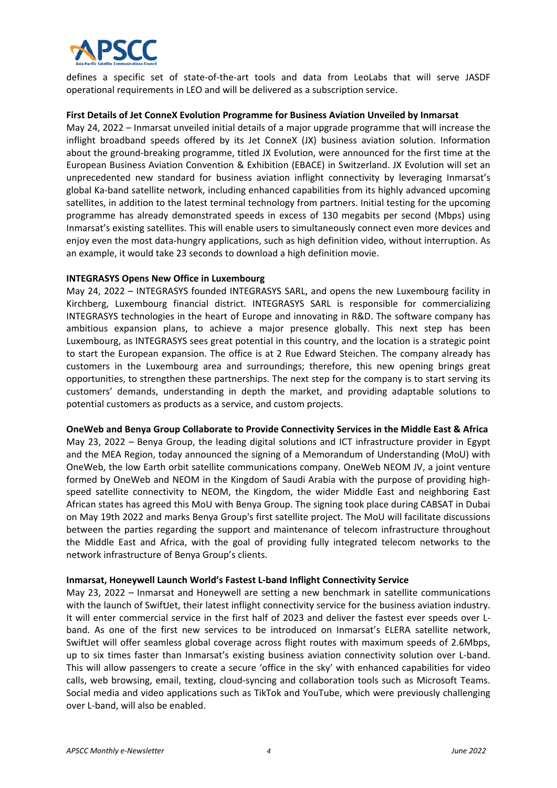

defines a specific set of state-of-the-art tools and data from LeoLabs that will serve JASDF operational requirements in LEO and will be delivered as a subscription service.

#### **First Details of Jet ConneX Evolution Programme for Business Aviation Unveiled by Inmarsat**

May 24, 2022 – Inmarsat unveiled initial details of a major upgrade programme that will increase the inflight broadband speeds offered by its Jet ConneX (JX) business aviation solution. Information about the ground‐breaking programme, titled JX Evolution, were announced for the first time at the European Business Aviation Convention & Exhibition (EBACE) in Switzerland. JX Evolution will set an unprecedented new standard for business aviation inflight connectivity by leveraging Inmarsat's global Ka‐band satellite network, including enhanced capabilities from its highly advanced upcoming satellites, in addition to the latest terminal technology from partners. Initial testing for the upcoming programme has already demonstrated speeds in excess of 130 megabits per second (Mbps) using Inmarsat's existing satellites. This will enable users to simultaneously connect even more devices and enjoy even the most data-hungry applications, such as high definition video, without interruption. As an example, it would take 23 seconds to download a high definition movie.

#### **INTEGRASYS Opens New Office in Luxembourg**

May 24, 2022 – INTEGRASYS founded INTEGRASYS SARL, and opens the new Luxembourg facility in Kirchberg, Luxembourg financial district. INTEGRASYS SARL is responsible for commercializing INTEGRASYS technologies in the heart of Europe and innovating in R&D. The software company has ambitious expansion plans, to achieve a major presence globally. This next step has been Luxembourg, as INTEGRASYS sees great potential in this country, and the location is a strategic point to start the European expansion. The office is at 2 Rue Edward Steichen. The company already has customers in the Luxembourg area and surroundings; therefore, this new opening brings great opportunities, to strengthen these partnerships. The next step for the company is to start serving its customers' demands, understanding in depth the market, and providing adaptable solutions to potential customers as products as a service, and custom projects.

#### **OneWeb and Benya Group Collaborate to Provide Connectivity Services in the Middle East & Africa**

May 23, 2022 – Benya Group, the leading digital solutions and ICT infrastructure provider in Egypt and the MEA Region, today announced the signing of a Memorandum of Understanding (MoU) with OneWeb, the low Earth orbit satellite communications company. OneWeb NEOM JV, a joint venture formed by OneWeb and NEOM in the Kingdom of Saudi Arabia with the purpose of providing highspeed satellite connectivity to NEOM, the Kingdom, the wider Middle East and neighboring East African states has agreed this MoU with Benya Group. The signing took place during CABSAT in Dubai on May 19th 2022 and marks Benya Group's first satellite project. The MoU will facilitate discussions between the parties regarding the support and maintenance of telecom infrastructure throughout the Middle East and Africa, with the goal of providing fully integrated telecom networks to the network infrastructure of Benya Group's clients.

#### **Inmarsat, Honeywell Launch World's Fastest L‐band Inflight Connectivity Service**

May 23, 2022 – Inmarsat and Honeywell are setting a new benchmark in satellite communications with the launch of SwiftJet, their latest inflight connectivity service for the business aviation industry. It will enter commercial service in the first half of 2023 and deliver the fastest ever speeds over L‐ band. As one of the first new services to be introduced on Inmarsat's ELERA satellite network, SwiftJet will offer seamless global coverage across flight routes with maximum speeds of 2.6Mbps, up to six times faster than Inmarsat's existing business aviation connectivity solution over L-band. This will allow passengers to create a secure 'office in the sky' with enhanced capabilities for video calls, web browsing, email, texting, cloud‐syncing and collaboration tools such as Microsoft Teams. Social media and video applications such as TikTok and YouTube, which were previously challenging over L‐band, will also be enabled.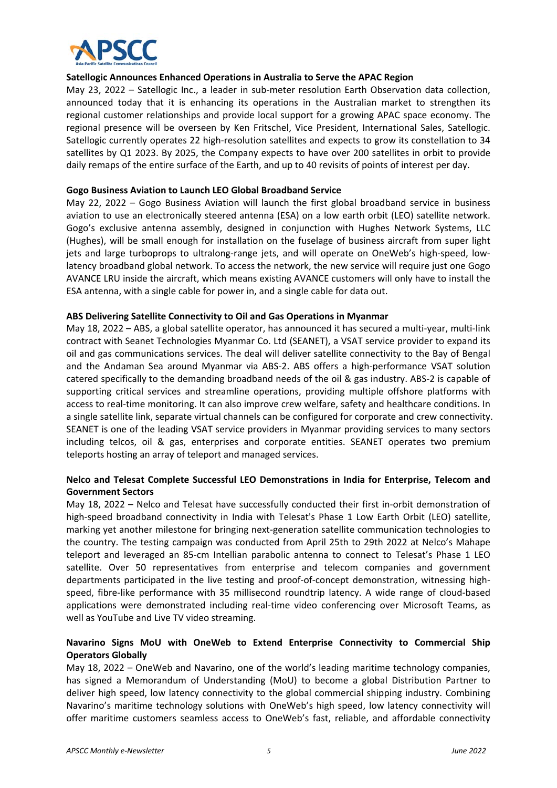

#### **Satellogic Announces Enhanced Operations in Australia to Serve the APAC Region**

May 23, 2022 – Satellogic Inc., a leader in sub-meter resolution Earth Observation data collection, announced today that it is enhancing its operations in the Australian market to strengthen its regional customer relationships and provide local support for a growing APAC space economy. The regional presence will be overseen by Ken Fritschel, Vice President, International Sales, Satellogic. Satellogic currently operates 22 high-resolution satellites and expects to grow its constellation to 34 satellites by Q1 2023. By 2025, the Company expects to have over 200 satellites in orbit to provide daily remaps of the entire surface of the Earth, and up to 40 revisits of points of interest per day.

#### **Gogo Business Aviation to Launch LEO Global Broadband Service**

May 22, 2022 - Gogo Business Aviation will launch the first global broadband service in business aviation to use an electronically steered antenna (ESA) on a low earth orbit (LEO) satellite network. Gogo's exclusive antenna assembly, designed in conjunction with Hughes Network Systems, LLC (Hughes), will be small enough for installation on the fuselage of business aircraft from super light jets and large turboprops to ultralong-range jets, and will operate on OneWeb's high-speed, lowlatency broadband global network. To access the network, the new service will require just one Gogo AVANCE LRU inside the aircraft, which means existing AVANCE customers will only have to install the ESA antenna, with a single cable for power in, and a single cable for data out.

#### **ABS Delivering Satellite Connectivity to Oil and Gas Operations in Myanmar**

May 18, 2022 – ABS, a global satellite operator, has announced it has secured a multi-year, multi-link contract with Seanet Technologies Myanmar Co. Ltd (SEANET), a VSAT service provider to expand its oil and gas communications services. The deal will deliver satellite connectivity to the Bay of Bengal and the Andaman Sea around Myanmar via ABS-2. ABS offers a high-performance VSAT solution catered specifically to the demanding broadband needs of the oil & gas industry. ABS‐2 is capable of supporting critical services and streamline operations, providing multiple offshore platforms with access to real‐time monitoring. It can also improve crew welfare, safety and healthcare conditions. In a single satellite link, separate virtual channels can be configured for corporate and crew connectivity. SEANET is one of the leading VSAT service providers in Myanmar providing services to many sectors including telcos, oil & gas, enterprises and corporate entities. SEANET operates two premium teleports hosting an array of teleport and managed services.

# **Nelco and Telesat Complete Successful LEO Demonstrations in India for Enterprise, Telecom and Government Sectors**

May 18, 2022 – Nelco and Telesat have successfully conducted their first in-orbit demonstration of high-speed broadband connectivity in India with Telesat's Phase 1 Low Earth Orbit (LEO) satellite, marking yet another milestone for bringing next-generation satellite communication technologies to the country. The testing campaign was conducted from April 25th to 29th 2022 at Nelco's Mahape teleport and leveraged an 85‐cm Intellian parabolic antenna to connect to Telesat's Phase 1 LEO satellite. Over 50 representatives from enterprise and telecom companies and government departments participated in the live testing and proof-of-concept demonstration, witnessing highspeed, fibre-like performance with 35 millisecond roundtrip latency. A wide range of cloud-based applications were demonstrated including real-time video conferencing over Microsoft Teams, as well as YouTube and Live TV video streaming.

# **Navarino Signs MoU with OneWeb to Extend Enterprise Connectivity to Commercial Ship Operators Globally**

May 18, 2022 – OneWeb and Navarino, one of the world's leading maritime technology companies, has signed a Memorandum of Understanding (MoU) to become a global Distribution Partner to deliver high speed, low latency connectivity to the global commercial shipping industry. Combining Navarino's maritime technology solutions with OneWeb's high speed, low latency connectivity will offer maritime customers seamless access to OneWeb's fast, reliable, and affordable connectivity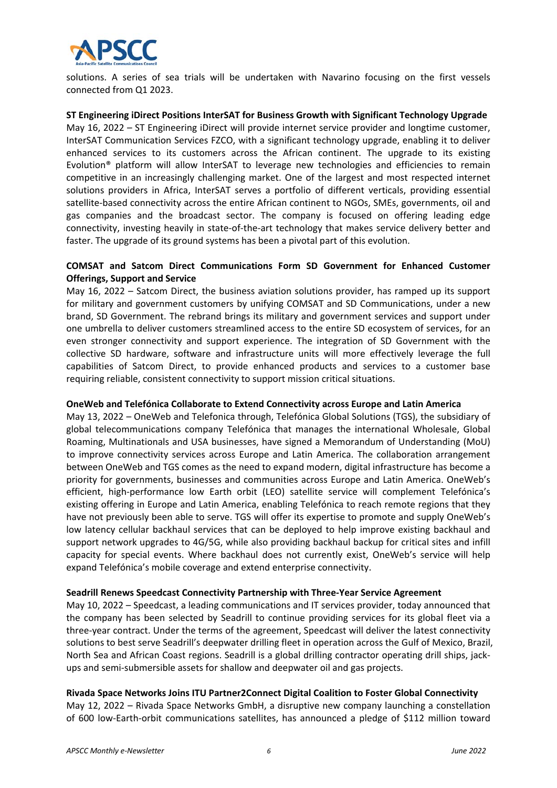

solutions. A series of sea trials will be undertaken with Navarino focusing on the first vessels connected from Q1 2023.

#### **ST Engineering iDirect Positions InterSAT for Business Growth with Significant Technology Upgrade**

May 16, 2022 – ST Engineering iDirect will provide internet service provider and longtime customer, InterSAT Communication Services FZCO, with a significant technology upgrade, enabling it to deliver enhanced services to its customers across the African continent. The upgrade to its existing Evolution® platform will allow InterSAT to leverage new technologies and efficiencies to remain competitive in an increasingly challenging market. One of the largest and most respected internet solutions providers in Africa, InterSAT serves a portfolio of different verticals, providing essential satellite-based connectivity across the entire African continent to NGOs, SMEs, governments, oil and gas companies and the broadcast sector. The company is focused on offering leading edge connectivity, investing heavily in state-of-the-art technology that makes service delivery better and faster. The upgrade of its ground systems has been a pivotal part of this evolution.

#### **COMSAT and Satcom Direct Communications Form SD Government for Enhanced Customer Offerings, Support and Service**

May 16, 2022 – Satcom Direct, the business aviation solutions provider, has ramped up its support for military and government customers by unifying COMSAT and SD Communications, under a new brand, SD Government. The rebrand brings its military and government services and support under one umbrella to deliver customers streamlined access to the entire SD ecosystem of services, for an even stronger connectivity and support experience. The integration of SD Government with the collective SD hardware, software and infrastructure units will more effectively leverage the full capabilities of Satcom Direct, to provide enhanced products and services to a customer base requiring reliable, consistent connectivity to support mission critical situations.

#### **OneWeb and Telefónica Collaborate to Extend Connectivity across Europe and Latin America**

May 13, 2022 – OneWeb and Telefonica through, Telefónica Global Solutions (TGS), the subsidiary of global telecommunications company Telefónica that manages the international Wholesale, Global Roaming, Multinationals and USA businesses, have signed a Memorandum of Understanding (MoU) to improve connectivity services across Europe and Latin America. The collaboration arrangement between OneWeb and TGS comes as the need to expand modern, digital infrastructure has become a priority for governments, businesses and communities across Europe and Latin America. OneWeb's efficient, high-performance low Earth orbit (LEO) satellite service will complement Telefónica's existing offering in Europe and Latin America, enabling Telefónica to reach remote regions that they have not previously been able to serve. TGS will offer its expertise to promote and supply OneWeb's low latency cellular backhaul services that can be deployed to help improve existing backhaul and support network upgrades to 4G/5G, while also providing backhaul backup for critical sites and infill capacity for special events. Where backhaul does not currently exist, OneWeb's service will help expand Telefónica's mobile coverage and extend enterprise connectivity.

#### **Seadrill Renews Speedcast Connectivity Partnership with Three‐Year Service Agreement**

May 10, 2022 – Speedcast, a leading communications and IT services provider, today announced that the company has been selected by Seadrill to continue providing services for its global fleet via a three‐year contract. Under the terms of the agreement, Speedcast will deliver the latest connectivity solutions to best serve Seadrill's deepwater drilling fleet in operation across the Gulf of Mexico, Brazil, North Sea and African Coast regions. Seadrill is a global drilling contractor operating drill ships, jack‐ ups and semi‐submersible assets for shallow and deepwater oil and gas projects.

#### **Rivada Space Networks Joins ITU Partner2Connect Digital Coalition to Foster Global Connectivity**

May 12, 2022 – Rivada Space Networks GmbH, a disruptive new company launching a constellation of 600 low‐Earth‐orbit communications satellites, has announced a pledge of \$112 million toward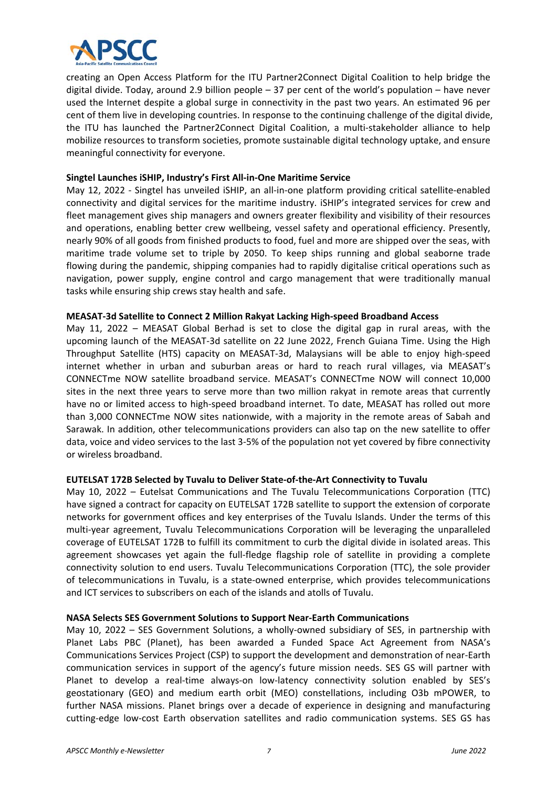

creating an Open Access Platform for the ITU Partner2Connect Digital Coalition to help bridge the digital divide. Today, around 2.9 billion people – 37 per cent of the world's population – have never used the Internet despite a global surge in connectivity in the past two years. An estimated 96 per cent of them live in developing countries. In response to the continuing challenge of the digital divide, the ITU has launched the Partner2Connect Digital Coalition, a multi-stakeholder alliance to help mobilize resources to transform societies, promote sustainable digital technology uptake, and ensure meaningful connectivity for everyone.

#### **Singtel Launches iSHIP, Industry's First All‐in‐One Maritime Service**

May 12, 2022 - Singtel has unveiled iSHIP, an all-in-one platform providing critical satellite-enabled connectivity and digital services for the maritime industry. iSHIP's integrated services for crew and fleet management gives ship managers and owners greater flexibility and visibility of their resources and operations, enabling better crew wellbeing, vessel safety and operational efficiency. Presently, nearly 90% of all goods from finished products to food, fuel and more are shipped over the seas, with maritime trade volume set to triple by 2050. To keep ships running and global seaborne trade flowing during the pandemic, shipping companies had to rapidly digitalise critical operations such as navigation, power supply, engine control and cargo management that were traditionally manual tasks while ensuring ship crews stay health and safe.

# **MEASAT‐3d Satellite to Connect 2 Million Rakyat Lacking High‐speed Broadband Access**

May 11, 2022 – MEASAT Global Berhad is set to close the digital gap in rural areas, with the upcoming launch of the MEASAT‐3d satellite on 22 June 2022, French Guiana Time. Using the High Throughput Satellite (HTS) capacity on MEASAT‐3d, Malaysians will be able to enjoy high‐speed internet whether in urban and suburban areas or hard to reach rural villages, via MEASAT's CONNECTme NOW satellite broadband service. MEASAT's CONNECTme NOW will connect 10,000 sites in the next three years to serve more than two million rakyat in remote areas that currently have no or limited access to high-speed broadband internet. To date, MEASAT has rolled out more than 3,000 CONNECTme NOW sites nationwide, with a majority in the remote areas of Sabah and Sarawak. In addition, other telecommunications providers can also tap on the new satellite to offer data, voice and video services to the last 3‐5% of the population not yet covered by fibre connectivity or wireless broadband.

# **EUTELSAT 172B Selected by Tuvalu to Deliver State‐of‐the‐Art Connectivity to Tuvalu**

May 10, 2022 - Eutelsat Communications and The Tuvalu Telecommunications Corporation (TTC) have signed a contract for capacity on EUTELSAT 172B satellite to support the extension of corporate networks for government offices and key enterprises of the Tuvalu Islands. Under the terms of this multi-year agreement, Tuvalu Telecommunications Corporation will be leveraging the unparalleled coverage of EUTELSAT 172B to fulfill its commitment to curb the digital divide in isolated areas. This agreement showcases yet again the full-fledge flagship role of satellite in providing a complete connectivity solution to end users. Tuvalu Telecommunications Corporation (TTC), the sole provider of telecommunications in Tuvalu, is a state‐owned enterprise, which provides telecommunications and ICT services to subscribers on each of the islands and atolls of Tuvalu.

#### **NASA Selects SES Government Solutions to Support Near‐Earth Communications**

May 10, 2022 – SES Government Solutions, a wholly-owned subsidiary of SES, in partnership with Planet Labs PBC (Planet), has been awarded a Funded Space Act Agreement from NASA's Communications Services Project (CSP) to support the development and demonstration of near‐Earth communication services in support of the agency's future mission needs. SES GS will partner with Planet to develop a real-time always-on low-latency connectivity solution enabled by SES's geostationary (GEO) and medium earth orbit (MEO) constellations, including O3b mPOWER, to further NASA missions. Planet brings over a decade of experience in designing and manufacturing cutting‐edge low‐cost Earth observation satellites and radio communication systems. SES GS has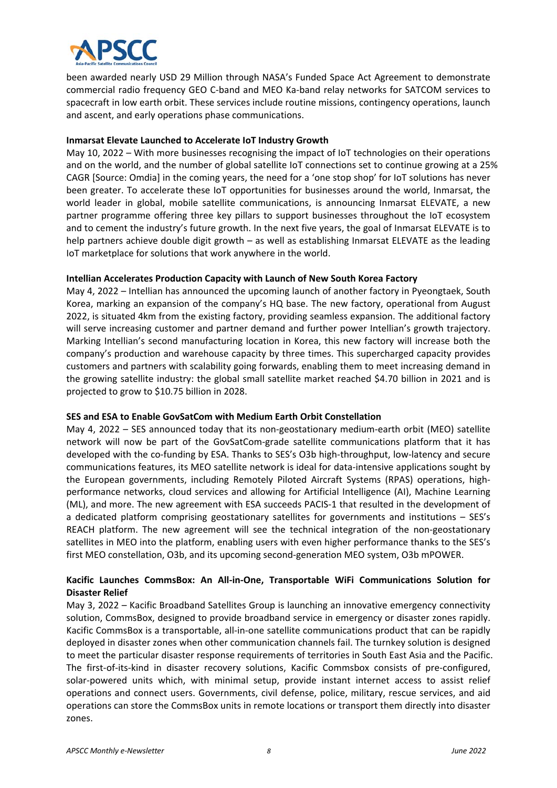

been awarded nearly USD 29 Million through NASA's Funded Space Act Agreement to demonstrate commercial radio frequency GEO C‐band and MEO Ka‐band relay networks for SATCOM services to spacecraft in low earth orbit. These services include routine missions, contingency operations, launch and ascent, and early operations phase communications.

#### **Inmarsat Elevate Launched to Accelerate IoT Industry Growth**

May 10, 2022 – With more businesses recognising the impact of IoT technologies on their operations and on the world, and the number of global satellite IoT connections set to continue growing at a 25% CAGR [Source: Omdia] in the coming years, the need for a 'one stop shop' for IoT solutions has never been greater. To accelerate these IoT opportunities for businesses around the world, Inmarsat, the world leader in global, mobile satellite communications, is announcing Inmarsat ELEVATE, a new partner programme offering three key pillars to support businesses throughout the IoT ecosystem and to cement the industry's future growth. In the next five years, the goal of Inmarsat ELEVATE is to help partners achieve double digit growth – as well as establishing Inmarsat ELEVATE as the leading IoT marketplace for solutions that work anywhere in the world.

#### **Intellian Accelerates Production Capacity with Launch of New South Korea Factory**

May 4, 2022 – Intellian has announced the upcoming launch of another factory in Pyeongtaek, South Korea, marking an expansion of the company's HQ base. The new factory, operational from August 2022, is situated 4km from the existing factory, providing seamless expansion. The additional factory will serve increasing customer and partner demand and further power Intellian's growth trajectory. Marking Intellian's second manufacturing location in Korea, this new factory will increase both the company's production and warehouse capacity by three times. This supercharged capacity provides customers and partners with scalability going forwards, enabling them to meet increasing demand in the growing satellite industry: the global small satellite market reached \$4.70 billion in 2021 and is projected to grow to \$10.75 billion in 2028.

#### **SES and ESA to Enable GovSatCom with Medium Earth Orbit Constellation**

May 4, 2022 – SES announced today that its non-geostationary medium-earth orbit (MEO) satellite network will now be part of the GovSatCom‐grade satellite communications platform that it has developed with the co-funding by ESA. Thanks to SES's O3b high-throughput, low-latency and secure communications features, its MEO satellite network is ideal for data‐intensive applications sought by the European governments, including Remotely Piloted Aircraft Systems (RPAS) operations, highperformance networks, cloud services and allowing for Artificial Intelligence (AI), Machine Learning (ML), and more. The new agreement with ESA succeeds PACIS‐1 that resulted in the development of a dedicated platform comprising geostationary satellites for governments and institutions – SES's REACH platform. The new agreement will see the technical integration of the non-geostationary satellites in MEO into the platform, enabling users with even higher performance thanks to the SES's first MEO constellation, O3b, and its upcoming second‐generation MEO system, O3b mPOWER.

# **Kacific Launches CommsBox: An All‐in‐One, Transportable WiFi Communications Solution for Disaster Relief**

May 3, 2022 – Kacific Broadband Satellites Group is launching an innovative emergency connectivity solution, CommsBox, designed to provide broadband service in emergency or disaster zones rapidly. Kacific CommsBox is a transportable, all‐in‐one satellite communications product that can be rapidly deployed in disaster zones when other communication channels fail. The turnkey solution is designed to meet the particular disaster response requirements of territories in South East Asia and the Pacific. The first-of-its-kind in disaster recovery solutions, Kacific Commsbox consists of pre-configured, solar-powered units which, with minimal setup, provide instant internet access to assist relief operations and connect users. Governments, civil defense, police, military, rescue services, and aid operations can store the CommsBox units in remote locations or transport them directly into disaster zones.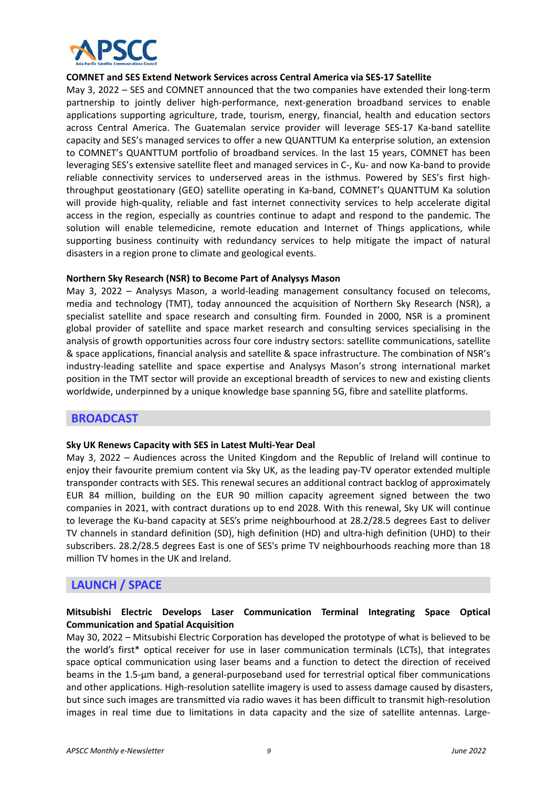

#### **COMNET and SES Extend Network Services across Central America via SES‐17 Satellite**

May 3, 2022 – SES and COMNET announced that the two companies have extended their long‐term partnership to jointly deliver high-performance, next-generation broadband services to enable applications supporting agriculture, trade, tourism, energy, financial, health and education sectors across Central America. The Guatemalan service provider will leverage SES-17 Ka-band satellite capacity and SES's managed services to offer a new QUANTTUM Ka enterprise solution, an extension to COMNET's QUANTTUM portfolio of broadband services. In the last 15 years, COMNET has been leveraging SES's extensive satellite fleet and managed services in C-, Ku- and now Ka-band to provide reliable connectivity services to underserved areas in the isthmus. Powered by SES's first highthroughput geostationary (GEO) satellite operating in Ka‐band, COMNET's QUANTTUM Ka solution will provide high-quality, reliable and fast internet connectivity services to help accelerate digital access in the region, especially as countries continue to adapt and respond to the pandemic. The solution will enable telemedicine, remote education and Internet of Things applications, while supporting business continuity with redundancy services to help mitigate the impact of natural disasters in a region prone to climate and geological events.

#### **Northern Sky Research (NSR) to Become Part of Analysys Mason**

May 3, 2022 – Analysys Mason, a world-leading management consultancy focused on telecoms, media and technology (TMT), today announced the acquisition of Northern Sky Research (NSR), a specialist satellite and space research and consulting firm. Founded in 2000, NSR is a prominent global provider of satellite and space market research and consulting services specialising in the analysis of growth opportunities across four core industry sectors: satellite communications, satellite & space applications, financial analysis and satellite & space infrastructure. The combination of NSR's industry-leading satellite and space expertise and Analysys Mason's strong international market position in the TMT sector will provide an exceptional breadth of services to new and existing clients worldwide, underpinned by a unique knowledge base spanning 5G, fibre and satellite platforms.

# **BROADCAST**

#### **Sky UK Renews Capacity with SES in Latest Multi‐Year Deal**

May 3, 2022 – Audiences across the United Kingdom and the Republic of Ireland will continue to enjoy their favourite premium content via Sky UK, as the leading pay-TV operator extended multiple transponder contracts with SES. This renewal secures an additional contract backlog of approximately EUR 84 million, building on the EUR 90 million capacity agreement signed between the two companies in 2021, with contract durations up to end 2028. With this renewal, Sky UK will continue to leverage the Ku-band capacity at SES's prime neighbourhood at 28.2/28.5 degrees East to deliver TV channels in standard definition (SD), high definition (HD) and ultra‐high definition (UHD) to their subscribers. 28.2/28.5 degrees East is one of SES's prime TV neighbourhoods reaching more than 18 million TV homes in the UK and Ireland.

# **LAUNCH / SPACE**

# **Mitsubishi Electric Develops Laser Communication Terminal Integrating Space Optical Communication and Spatial Acquisition**

May 30, 2022 – Mitsubishi Electric Corporation has developed the prototype of what is believed to be the world's first\* optical receiver for use in laser communication terminals (LCTs), that integrates space optical communication using laser beams and a function to detect the direction of received beams in the 1.5‐μm band, a general‐purposeband used for terrestrial optical fiber communications and other applications. High-resolution satellite imagery is used to assess damage caused by disasters, but since such images are transmitted via radio waves it has been difficult to transmit high-resolution images in real time due to limitations in data capacity and the size of satellite antennas. Large-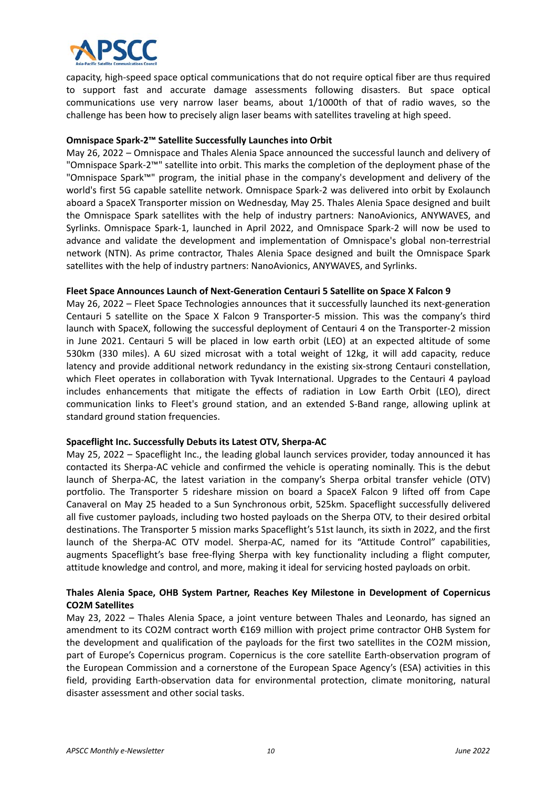

capacity, high‐speed space optical communications that do not require optical fiber are thus required to support fast and accurate damage assessments following disasters. But space optical communications use very narrow laser beams, about 1/1000th of that of radio waves, so the challenge has been how to precisely align laser beams with satellites traveling at high speed.

#### **Omnispace Spark‐2™ Satellite Successfully Launches into Orbit**

May 26, 2022 – Omnispace and Thales Alenia Space announced the successful launch and delivery of "Omnispace Spark‐2™" satellite into orbit. This marks the completion of the deployment phase of the "Omnispace Spark™" program, the initial phase in the company's development and delivery of the world's first 5G capable satellite network. Omnispace Spark‐2 was delivered into orbit by Exolaunch aboard a SpaceX Transporter mission on Wednesday, May 25. Thales Alenia Space designed and built the Omnispace Spark satellites with the help of industry partners: NanoAvionics, ANYWAVES, and Syrlinks. Omnispace Spark‐1, launched in April 2022, and Omnispace Spark‐2 will now be used to advance and validate the development and implementation of Omnispace's global non-terrestrial network (NTN). As prime contractor, Thales Alenia Space designed and built the Omnispace Spark satellites with the help of industry partners: NanoAvionics, ANYWAVES, and Syrlinks.

#### **Fleet Space Announces Launch of Next‐Generation Centauri 5 Satellite on Space X Falcon 9**

May 26, 2022 – Fleet Space Technologies announces that it successfully launched its next-generation Centauri 5 satellite on the Space X Falcon 9 Transporter-5 mission. This was the company's third launch with SpaceX, following the successful deployment of Centauri 4 on the Transporter‐2 mission in June 2021. Centauri 5 will be placed in low earth orbit (LEO) at an expected altitude of some 530km (330 miles). A 6U sized microsat with a total weight of 12kg, it will add capacity, reduce latency and provide additional network redundancy in the existing six‐strong Centauri constellation, which Fleet operates in collaboration with Tyvak International. Upgrades to the Centauri 4 payload includes enhancements that mitigate the effects of radiation in Low Earth Orbit (LEO), direct communication links to Fleet's ground station, and an extended S‐Band range, allowing uplink at standard ground station frequencies.

#### **Spaceflight Inc. Successfully Debuts its Latest OTV, Sherpa‐AC**

May 25, 2022 – Spaceflight Inc., the leading global launch services provider, today announced it has contacted its Sherpa‐AC vehicle and confirmed the vehicle is operating nominally. This is the debut launch of Sherpa-AC, the latest variation in the company's Sherpa orbital transfer vehicle (OTV) portfolio. The Transporter 5 rideshare mission on board a SpaceX Falcon 9 lifted off from Cape Canaveral on May 25 headed to a Sun Synchronous orbit, 525km. Spaceflight successfully delivered all five customer payloads, including two hosted payloads on the Sherpa OTV, to their desired orbital destinations. The Transporter 5 mission marks Spaceflight's 51st launch, its sixth in 2022, and the first launch of the Sherpa-AC OTV model. Sherpa-AC, named for its "Attitude Control" capabilities, augments Spaceflight's base free‐flying Sherpa with key functionality including a flight computer, attitude knowledge and control, and more, making it ideal for servicing hosted payloads on orbit.

# **Thales Alenia Space, OHB System Partner, Reaches Key Milestone in Development of Copernicus CO2M Satellites**

May 23, 2022 – Thales Alenia Space, a joint venture between Thales and Leonardo, has signed an amendment to its CO2M contract worth €169 million with project prime contractor OHB System for the development and qualification of the payloads for the first two satellites in the CO2M mission, part of Europe's Copernicus program. Copernicus is the core satellite Earth-observation program of the European Commission and a cornerstone of the European Space Agency's (ESA) activities in this field, providing Earth-observation data for environmental protection, climate monitoring, natural disaster assessment and other social tasks.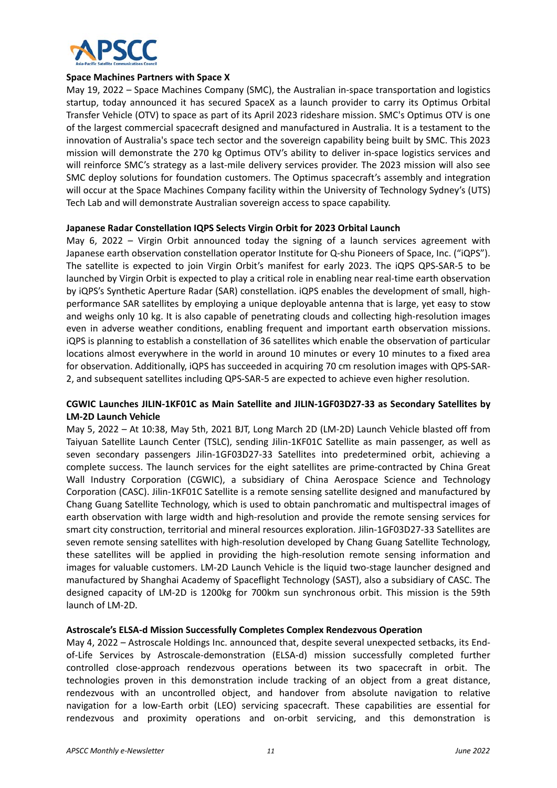

#### **Space Machines Partners with Space X**

May 19, 2022 – Space Machines Company (SMC), the Australian in-space transportation and logistics startup, today announced it has secured SpaceX as a launch provider to carry its Optimus Orbital Transfer Vehicle (OTV) to space as part of its April 2023 rideshare mission. SMC's Optimus OTV is one of the largest commercial spacecraft designed and manufactured in Australia. It is a testament to the innovation of Australia's space tech sector and the sovereign capability being built by SMC. This 2023 mission will demonstrate the 270 kg Optimus OTV's ability to deliver in‐space logistics services and will reinforce SMC's strategy as a last-mile delivery services provider. The 2023 mission will also see SMC deploy solutions for foundation customers. The Optimus spacecraft's assembly and integration will occur at the Space Machines Company facility within the University of Technology Sydney's (UTS) Tech Lab and will demonstrate Australian sovereign access to space capability.

#### **Japanese Radar Constellation IQPS Selects Virgin Orbit for 2023 Orbital Launch**

May 6, 2022 – Virgin Orbit announced today the signing of a launch services agreement with Japanese earth observation constellation operator Institute for Q‐shu Pioneers of Space, Inc. ("iQPS"). The satellite is expected to join Virgin Orbit's manifest for early 2023. The iQPS QPS-SAR-5 to be launched by Virgin Orbit is expected to play a critical role in enabling near real‐time earth observation by iQPS's Synthetic Aperture Radar (SAR) constellation. iQPS enables the development of small, highperformance SAR satellites by employing a unique deployable antenna that is large, yet easy to stow and weighs only 10 kg. It is also capable of penetrating clouds and collecting high-resolution images even in adverse weather conditions, enabling frequent and important earth observation missions. iQPS is planning to establish a constellation of 36 satellites which enable the observation of particular locations almost everywhere in the world in around 10 minutes or every 10 minutes to a fixed area for observation. Additionally, iQPS has succeeded in acquiring 70 cm resolution images with QPS‐SAR‐ 2, and subsequent satellites including QPS‐SAR‐5 are expected to achieve even higher resolution.

#### **CGWIC Launches JILIN‐1KF01C as Main Satellite and JILIN‐1GF03D27‐33 as Secondary Satellites by LM‐2D Launch Vehicle**

May 5, 2022 – At 10:38, May 5th, 2021 BJT, Long March 2D (LM‐2D) Launch Vehicle blasted off from Taiyuan Satellite Launch Center (TSLC), sending Jilin‐1KF01C Satellite as main passenger, as well as seven secondary passengers Jilin-1GF03D27-33 Satellites into predetermined orbit, achieving a complete success. The launch services for the eight satellites are prime‐contracted by China Great Wall Industry Corporation (CGWIC), a subsidiary of China Aerospace Science and Technology Corporation (CASC). Jilin‐1KF01C Satellite is a remote sensing satellite designed and manufactured by Chang Guang Satellite Technology, which is used to obtain panchromatic and multispectral images of earth observation with large width and high-resolution and provide the remote sensing services for smart city construction, territorial and mineral resources exploration. Jilin‐1GF03D27‐33 Satellites are seven remote sensing satellites with high-resolution developed by Chang Guang Satellite Technology, these satellites will be applied in providing the high-resolution remote sensing information and images for valuable customers. LM‐2D Launch Vehicle is the liquid two‐stage launcher designed and manufactured by Shanghai Academy of Spaceflight Technology (SAST), also a subsidiary of CASC. The designed capacity of LM‐2D is 1200kg for 700km sun synchronous orbit. This mission is the 59th launch of LM‐2D.

#### **Astroscale's ELSA‐d Mission Successfully Completes Complex Rendezvous Operation**

May 4, 2022 – Astroscale Holdings Inc. announced that, despite several unexpected setbacks, its Endof-Life Services by Astroscale-demonstration (ELSA-d) mission successfully completed further controlled close-approach rendezvous operations between its two spacecraft in orbit. The technologies proven in this demonstration include tracking of an object from a great distance, rendezvous with an uncontrolled object, and handover from absolute navigation to relative navigation for a low-Earth orbit (LEO) servicing spacecraft. These capabilities are essential for rendezvous and proximity operations and on-orbit servicing, and this demonstration is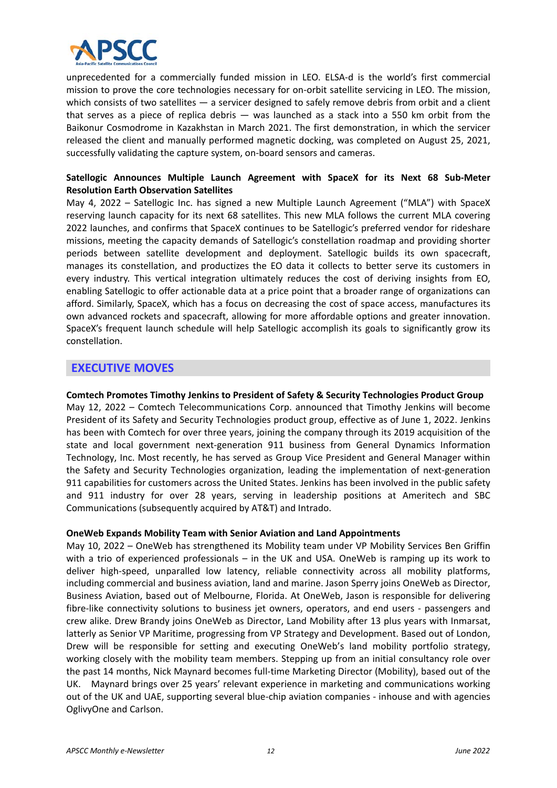

unprecedented for a commercially funded mission in LEO. ELSA-d is the world's first commercial mission to prove the core technologies necessary for on‐orbit satellite servicing in LEO. The mission, which consists of two satellites — a servicer designed to safely remove debris from orbit and a client that serves as a piece of replica debris  $-$  was launched as a stack into a 550 km orbit from the Baikonur Cosmodrome in Kazakhstan in March 2021. The first demonstration, in which the servicer released the client and manually performed magnetic docking, was completed on August 25, 2021, successfully validating the capture system, on‐board sensors and cameras.

# **Satellogic Announces Multiple Launch Agreement with SpaceX for its Next 68 Sub‐Meter Resolution Earth Observation Satellites**

May 4, 2022 - Satellogic Inc. has signed a new Multiple Launch Agreement ("MLA") with SpaceX reserving launch capacity for its next 68 satellites. This new MLA follows the current MLA covering 2022 launches, and confirms that SpaceX continues to be Satellogic's preferred vendor for rideshare missions, meeting the capacity demands of Satellogic's constellation roadmap and providing shorter periods between satellite development and deployment. Satellogic builds its own spacecraft, manages its constellation, and productizes the EO data it collects to better serve its customers in every industry. This vertical integration ultimately reduces the cost of deriving insights from EO, enabling Satellogic to offer actionable data at a price point that a broader range of organizations can afford. Similarly, SpaceX, which has a focus on decreasing the cost of space access, manufactures its own advanced rockets and spacecraft, allowing for more affordable options and greater innovation. SpaceX's frequent launch schedule will help Satellogic accomplish its goals to significantly grow its constellation.

# **EXECUTIVE MOVES**

**Comtech Promotes Timothy Jenkins to President of Safety & Security Technologies Product Group**  May 12, 2022 – Comtech Telecommunications Corp. announced that Timothy Jenkins will become President of its Safety and Security Technologies product group, effective as of June 1, 2022. Jenkins has been with Comtech for over three years, joining the company through its 2019 acquisition of the state and local government next-generation 911 business from General Dynamics Information Technology, Inc. Most recently, he has served as Group Vice President and General Manager within the Safety and Security Technologies organization, leading the implementation of next-generation 911 capabilities for customers across the United States. Jenkins has been involved in the public safety and 911 industry for over 28 years, serving in leadership positions at Ameritech and SBC Communications (subsequently acquired by AT&T) and Intrado.

#### **OneWeb Expands Mobility Team with Senior Aviation and Land Appointments**

May 10, 2022 – OneWeb has strengthened its Mobility team under VP Mobility Services Ben Griffin with a trio of experienced professionals – in the UK and USA. OneWeb is ramping up its work to deliver high‐speed, unparalled low latency, reliable connectivity across all mobility platforms, including commercial and business aviation, land and marine. Jason Sperry joins OneWeb as Director, Business Aviation, based out of Melbourne, Florida. At OneWeb, Jason is responsible for delivering fibre-like connectivity solutions to business jet owners, operators, and end users - passengers and crew alike. Drew Brandy joins OneWeb as Director, Land Mobility after 13 plus years with Inmarsat, latterly as Senior VP Maritime, progressing from VP Strategy and Development. Based out of London, Drew will be responsible for setting and executing OneWeb's land mobility portfolio strategy, working closely with the mobility team members. Stepping up from an initial consultancy role over the past 14 months, Nick Maynard becomes full‐time Marketing Director (Mobility), based out of the UK. Maynard brings over 25 years' relevant experience in marketing and communications working out of the UK and UAE, supporting several blue‐chip aviation companies ‐ inhouse and with agencies OglivyOne and Carlson.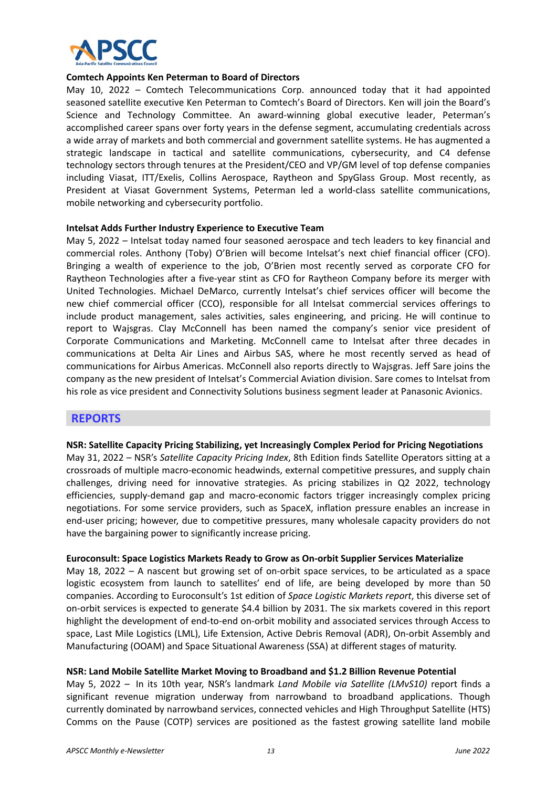

#### **Comtech Appoints Ken Peterman to Board of Directors**

May 10, 2022 - Comtech Telecommunications Corp. announced today that it had appointed seasoned satellite executive Ken Peterman to Comtech's Board of Directors. Ken will join the Board's Science and Technology Committee. An award‐winning global executive leader, Peterman's accomplished career spans over forty years in the defense segment, accumulating credentials across a wide array of markets and both commercial and government satellite systems. He has augmented a strategic landscape in tactical and satellite communications, cybersecurity, and C4 defense technology sectors through tenures at the President/CEO and VP/GM level of top defense companies including Viasat, ITT/Exelis, Collins Aerospace, Raytheon and SpyGlass Group. Most recently, as President at Viasat Government Systems, Peterman led a world‐class satellite communications, mobile networking and cybersecurity portfolio.

#### **Intelsat Adds Further Industry Experience to Executive Team**

May 5, 2022 – Intelsat today named four seasoned aerospace and tech leaders to key financial and commercial roles. Anthony (Toby) O'Brien will become Intelsat's next chief financial officer (CFO). Bringing a wealth of experience to the job, O'Brien most recently served as corporate CFO for Raytheon Technologies after a five-year stint as CFO for Raytheon Company before its merger with United Technologies. Michael DeMarco, currently Intelsat's chief services officer will become the new chief commercial officer (CCO), responsible for all Intelsat commercial services offerings to include product management, sales activities, sales engineering, and pricing. He will continue to report to Wajsgras. Clay McConnell has been named the company's senior vice president of Corporate Communications and Marketing. McConnell came to Intelsat after three decades in communications at Delta Air Lines and Airbus SAS, where he most recently served as head of communications for Airbus Americas. McConnell also reports directly to Wajsgras. Jeff Sare joins the company as the new president of Intelsat's Commercial Aviation division. Sare comes to Intelsat from his role as vice president and Connectivity Solutions business segment leader at Panasonic Avionics.

#### **REPORTS**

#### **NSR: Satellite Capacity Pricing Stabilizing, yet Increasingly Complex Period for Pricing Negotiations**

May 31, 2022 – NSR's *Satellite Capacity Pricing Index*, 8th Edition finds Satellite Operators sitting at a crossroads of multiple macro‐economic headwinds, external competitive pressures, and supply chain challenges, driving need for innovative strategies. As pricing stabilizes in Q2 2022, technology efficiencies, supply‐demand gap and macro‐economic factors trigger increasingly complex pricing negotiations. For some service providers, such as SpaceX, inflation pressure enables an increase in end‐user pricing; however, due to competitive pressures, many wholesale capacity providers do not have the bargaining power to significantly increase pricing.

#### **Euroconsult: Space Logistics Markets Ready to Grow as On‐orbit Supplier Services Materialize**

May 18, 2022 – A nascent but growing set of on-orbit space services, to be articulated as a space logistic ecosystem from launch to satellites' end of life, are being developed by more than 50 companies. According to Euroconsult's 1st edition of *Space Logistic Markets report*, this diverse set of on‐orbit services is expected to generate \$4.4 billion by 2031. The six markets covered in this report highlight the development of end-to-end on-orbit mobility and associated services through Access to space, Last Mile Logistics (LML), Life Extension, Active Debris Removal (ADR), On-orbit Assembly and Manufacturing (OOAM) and Space Situational Awareness (SSA) at different stages of maturity.

#### **NSR: Land Mobile Satellite Market Moving to Broadband and \$1.2 Billion Revenue Potential**

May 5, 2022 - In its 10th year, NSR's landmark *Land Mobile via Satellite (LMvS10)* report finds a significant revenue migration underway from narrowband to broadband applications. Though currently dominated by narrowband services, connected vehicles and High Throughput Satellite (HTS) Comms on the Pause (COTP) services are positioned as the fastest growing satellite land mobile